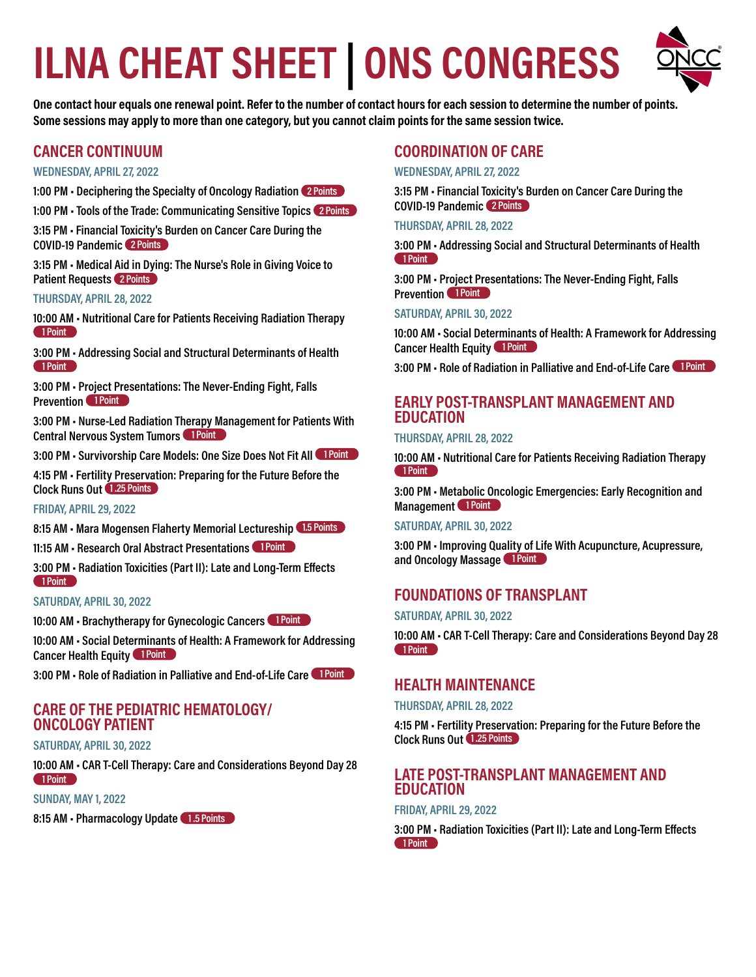# **ILNA CHEAT SHEET | ONS CONGRESS**



**One contact hour equals one renewal point. Refer to the number of contact hours for each session to determine the number of points. Some sessions may apply to more than one category, but you cannot claim points for the same session twice.** 

# **CANCER CONTINUUM**

#### **WEDNESDAY, APRIL 27, 2022**

**1:00 PM • Deciphering the Specialty of Oncology Radiation 2 Points**

**1:00 PM • Tools of the Trade: Communicating Sensitive Topics 2 Points**

**3:15 PM • Financial Toxicity's Burden on Cancer Care During the COVID-19 Pandemic 2 Points**

**3:15 PM • Medical Aid in Dying: The Nurse's Role in Giving Voice to Patient Requests 2 Points**

#### **THURSDAY, APRIL 28, 2022**

**10:00 AM • Nutritional Care for Patients Receiving Radiation Therapy 1 Point**

**3:00 PM • Addressing Social and Structural Determinants of Health 1 Point**

**3:00 PM • Project Presentations: The Never-Ending Fight, Falls Prevention 1 Point** 

**3:00 PM • Nurse-Led Radiation Therapy Management for Patients With Central Nervous System Tumors 1 Point** 

**3:00 PM • Survivorship Care Models: One Size Does Not Fit All 1 Point** 

**4:15 PM • Fertility Preservation: Preparing for the Future Before the Clock Runs Out 1 .25 Points**

#### **FRIDAY, APRIL 29, 2022**

**8:15 AM • Mara Mogensen Flaherty Memorial Lectureship 1.5 Points**

**11:15 AM • Research Oral Abstract Presentations 1 Point**

**3:00 PM • Radiation Toxicities (Part II): Late and Long-Term Effects 1 Point**

#### **SATURDAY, APRIL 30, 2022**

**10:00 AM • Brachytherapy for Gynecologic Cancers 1 Point**

**10:00 AM • Social Determinants of Health: A Framework for Addressing Cancer Health Equity 1 Point** 

**3:00 PM • Role of Radiation in Palliative and End-of-Life Care 1 Point**

# **CARE OF THE PEDIATRIC HEMATOLOGY/ ONCOLOGY PATIENT**

#### **SATURDAY, APRIL 30, 2022**

**10:00 AM • CAR T-Cell Therapy: Care and Considerations Beyond Day 28 1 Point**

**SUNDAY, MAY 1, 2022**

**8:15 AM • Pharmacology Update 1 .5 Points**

# **COORDINATION OF CARE**

#### **WEDNESDAY, APRIL 27, 2022**

**3:15 PM • Financial Toxicity's Burden on Cancer Care During the COVID-19 Pandemic 2 Points**

#### **THURSDAY, APRIL 28, 2022**

**3:00 PM • Addressing Social and Structural Determinants of Health 1 Point**

**3:00 PM • Project Presentations: The Never-Ending Fight, Falls Prevention** 1 Point

#### **SATURDAY, APRIL 30, 2022**

**10:00 AM • Social Determinants of Health: A Framework for Addressing Cancer Health Equity 1 Point** 

**3:00 PM • Role of Radiation in Palliative and End-of-Life Care 1 Point**

# **EARLY POST-TRANSPLANT MANAGEMENT AND EDUCATION**

#### **THURSDAY, APRIL 28, 2022**

**10:00 AM • Nutritional Care for Patients Receiving Radiation Therapy 1 Point**

**3:00 PM • Metabolic Oncologic Emergencies: Early Recognition and Management** 1 Point

#### **SATURDAY, APRIL 30, 2022**

**3:00 PM • Improving Quality of Life With Acupuncture, Acupressure, and Oncology Massage 1 Point**

# **FOUNDATIONS OF TRANSPLANT**

#### **SATURDAY, APRIL 30, 2022**

**10:00 AM • CAR T-Cell Therapy: Care and Considerations Beyond Day 28 1 Point**

# **HEALTH MAINTENANCE**

**THURSDAY, APRIL 28, 2022**

**4:15 PM • Fertility Preservation: Preparing for the Future Before the Clock Runs Out 1 .25 Points**

# **LATE POST-TRANSPLANT MANAGEMENT AND EDUCATION**

#### **FRIDAY, APRIL 29, 2022**

**3:00 PM • Radiation Toxicities (Part II): Late and Long-Term Effects 1 Point**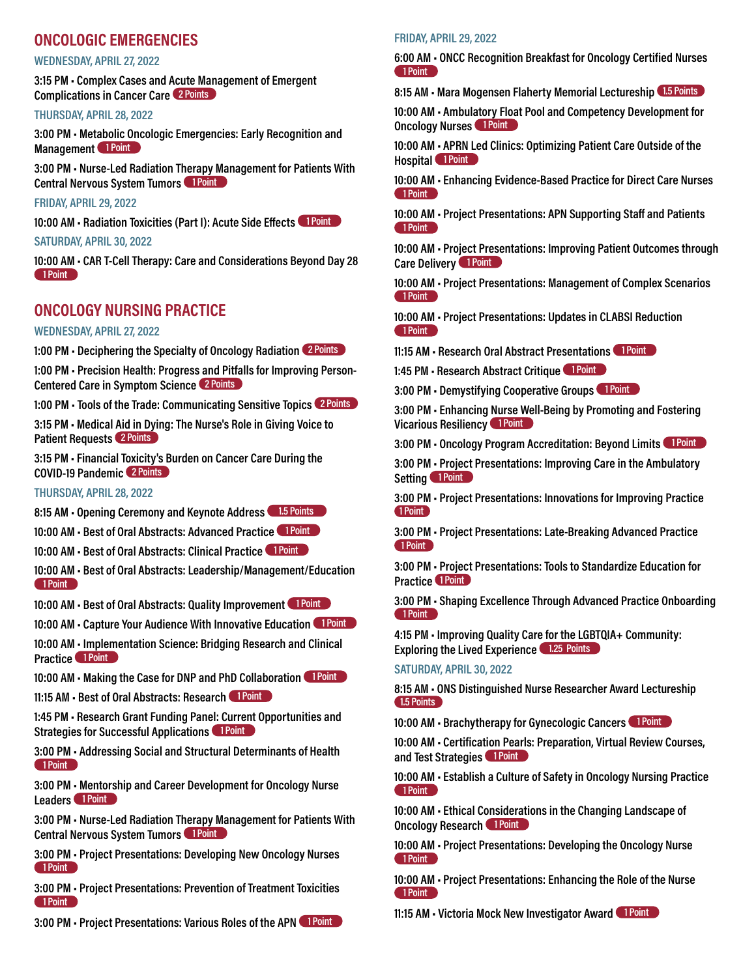# **ONCOLOGIC EMERGENCIES**

#### **WEDNESDAY, APRIL 27, 2022**

**3:15 PM • Complex Cases and Acute Management of Emergent Complications in Cancer Care 2 Points**

**THURSDAY, APRIL 28, 2022**

**3:00 PM • Metabolic Oncologic Emergencies: Early Recognition and Management** 1 Point

**3:00 PM • Nurse-Led Radiation Therapy Management for Patients With Central Nervous System Tumors 1 Point** 

**FRIDAY, APRIL 29, 2022**

10:00 AM · Radiation Toxicities (Part I): Acute Side Effects 1 Point

**SATURDAY, APRIL 30, 2022**

**10:00 AM • CAR T-Cell Therapy: Care and Considerations Beyond Day 28 1 Point**

# **ONCOLOGY NURSING PRACTICE**

#### **WEDNESDAY, APRIL 27, 2022**

**1:00 PM • Deciphering the Specialty of Oncology Radiation 2 Points**

**1:00 PM • Precision Health: Progress and Pitfalls for Improving Person-Centered Care in Symptom Science 2 Points**

**1:00 PM • Tools of the Trade: Communicating Sensitive Topics 2 Points**

**3:15 PM • Medical Aid in Dying: The Nurse's Role in Giving Voice to Patient Requests 2 Points**

**3:15 PM • Financial Toxicity's Burden on Cancer Care During the COVID-19 Pandemic 2 Points**

#### **THURSDAY, APRIL 28, 2022**

**8:15 AM • Opening Ceremony and Keynote Address 1.5 Points**

**10:00 AM • Best of Oral Abstracts: Advanced Practice 1 Point**

**10:00 AM • Best of Oral Abstracts: Clinical Practice 1 Point**

**10:00 AM • Best of Oral Abstracts: Leadership/Management/Education 1 Point**

**10:00 AM · Best of Oral Abstracts: Quality Improvement 1 Point** 

10:00 AM · Capture Your Audience With Innovative Education 1 Point

**10:00 AM • Implementation Science: Bridging Research and Clinical Practice** 1 Point

**10:00 AM • Making the Case for DNP and PhD Collaboration 1 Point**

**11:15 AM • Best of Oral Abstracts: Research 1 Point**

**1:45 PM • Research Grant Funding Panel: Current Opportunities and Strategies for Successful Applications 1 Point** 

**3:00 PM • Addressing Social and Structural Determinants of Health 1 Point**

**3:00 PM • Mentorship and Career Development for Oncology Nurse**  Leaders 1 Point

**3:00 PM • Nurse-Led Radiation Therapy Management for Patients With Central Nervous System Tumors 1 Point** 

**3:00 PM • Project Presentations: Developing New Oncology Nurses 1 Point**

**3:00 PM • Project Presentations: Prevention of Treatment Toxicities 1 Point**

**3:00 PM • Project Presentations: Various Roles of the APN 1 Point**

#### **FRIDAY, APRIL 29, 2022**

**6:00 AM • ONCC Recognition Breakfast for Oncology Certified Nurses 1 Point**

**8:15 AM • Mara Mogensen Flaherty Memorial Lectureship 1.5 Points**

**10:00 AM • Ambulatory Float Pool and Competency Development for Oncology Nurses** 1 Point

**10:00 AM • APRN Led Clinics: Optimizing Patient Care Outside of the Hospital** 1 Point

**10:00 AM • Enhancing Evidence-Based Practice for Direct Care Nurses 1 Point**

**10:00 AM • Project Presentations: APN Supporting Staff and Patients 1 Point**

**10:00 AM • Project Presentations: Improving Patient Outcomes through Care Delivery 1 Point** 

**10:00 AM • Project Presentations: Management of Complex Scenarios 1 Point**

**10:00 AM • Project Presentations: Updates in CLABSI Reduction 1 Point**

**11:15 AM • Research Oral Abstract Presentations 1 Point**

**1:45 PM • Research Abstract Critique 1 Point**

**3:00 PM • Demystifying Cooperative Groups 1 Point** 

**3:00 PM • Enhancing Nurse Well-Being by Promoting and Fostering Vicarious Resiliency 1 Point** 

**3:00 PM • Oncology Program Accreditation: Beyond Limits 1 Point**

**3:00 PM • Project Presentations: Improving Care in the Ambulatory**  Setting 1 Point

**3:00 PM • Project Presentations: Innovations for Improving Practice 1 Point**

**3:00 PM • Project Presentations: Late-Breaking Advanced Practice 1 Point**

**3:00 PM • Project Presentations: Tools to Standardize Education for Practice 1 Point** 

**3:00 PM • Shaping Excellence Through Advanced Practice Onboarding 1 Point**

**4:15 PM • Improving Quality Care for the LGBTQIA+ Community: Exploring the Lived Experience 1.25 Points**

**SATURDAY, APRIL 30, 2022**

**8:15 AM • ONS Distinguished Nurse Researcher Award Lectureship 1.5 Points**

**10:00 AM • Brachytherapy for Gynecologic Cancers 1 Point**

**10:00 AM • Certification Pearls: Preparation, Virtual Review Courses, and Test Strategies** 1 Point

**10:00 AM • Establish a Culture of Safety in Oncology Nursing Practice 1 Point**

**10:00 AM • Ethical Considerations in the Changing Landscape of Oncology Research 1 Point** 

**10:00 AM • Project Presentations: Developing the Oncology Nurse 1 Point**

**10:00 AM • Project Presentations: Enhancing the Role of the Nurse 1 Point**

**11:15 AM • Victoria Mock New Investigator Award 1 Point**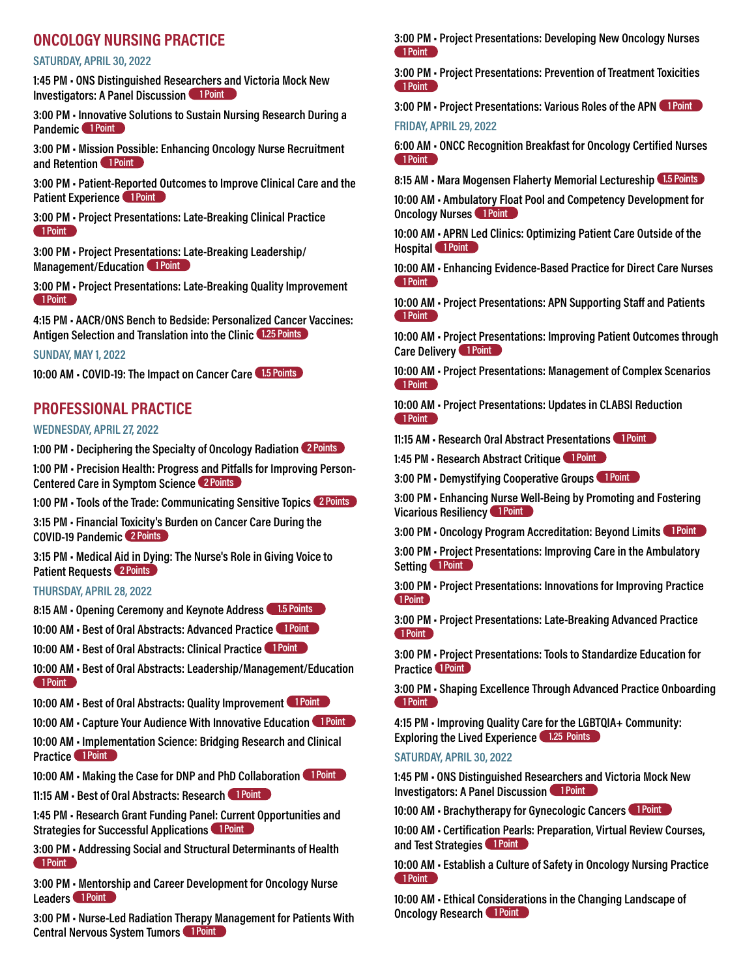# **ONCOLOGY NURSING PRACTICE**

#### **SATURDAY, APRIL 30, 2022**

**1:45 PM • ONS Distinguished Researchers and Victoria Mock New Investigators: A Panel Discussion 1 Point** 

**3:00 PM • Innovative Solutions to Sustain Nursing Research During a Pandemic 1 Point** 

**3:00 PM • Mission Possible: Enhancing Oncology Nurse Recruitment and Retention 1 Point**

**3:00 PM • Patient-Reported Outcomes to Improve Clinical Care and the Patient Experience 1 Point** 

**3:00 PM • Project Presentations: Late-Breaking Clinical Practice 1 Point**

**3:00 PM • Project Presentations: Late-Breaking Leadership/ Management/Education 1 Point** 

**3:00 PM • Project Presentations: Late-Breaking Quality Improvement 1 Point**

**4:15 PM • AACR/ONS Bench to Bedside: Personalized Cancer Vaccines: Antigen Selection and Translation into the Clinic 1.25 Points**

#### **SUNDAY, MAY 1, 2022**

**10:00 AM • COVID-19: The Impact on Cancer Care 1.5 Points**

# **PROFESSIONAL PRACTICE**

#### **WEDNESDAY, APRIL 27, 2022**

**1:00 PM • Deciphering the Specialty of Oncology Radiation 2 Points**

**1:00 PM • Precision Health: Progress and Pitfalls for Improving Person-Centered Care in Symptom Science 2 Points**

**1:00 PM • Tools of the Trade: Communicating Sensitive Topics 2 Points**

**3:15 PM • Financial Toxicity's Burden on Cancer Care During the COVID-19 Pandemic 2 Points**

**3:15 PM • Medical Aid in Dying: The Nurse's Role in Giving Voice to Patient Requests 2 Points**

#### **THURSDAY, APRIL 28, 2022**

**8:15 AM • Opening Ceremony and Keynote Address 1.5 Points**

**10:00 AM • Best of Oral Abstracts: Advanced Practice 1 Point**

**10:00 AM • Best of Oral Abstracts: Clinical Practice 1 Point**

**10:00 AM • Best of Oral Abstracts: Leadership/Management/Education 1 Point**

**10:00 AM • Best of Oral Abstracts: Quality Improvement 1 Point** 

10:00 AM · Capture Your Audience With Innovative Education 1 Point

**10:00 AM • Implementation Science: Bridging Research and Clinical Practice** 1 Point

10:00 AM • Making the Case for DNP and PhD Collaboration **1 Point** 

**11:15 AM • Best of Oral Abstracts: Research 1 Point**

**1:45 PM • Research Grant Funding Panel: Current Opportunities and Strategies for Successful Applications 1 Point** 

**3:00 PM • Addressing Social and Structural Determinants of Health 1 Point**

**3:00 PM • Mentorship and Career Development for Oncology Nurse**  Leaders 1 Point

**3:00 PM • Nurse-Led Radiation Therapy Management for Patients With Central Nervous System Tumors 1 Point** 

**3:00 PM • Project Presentations: Developing New Oncology Nurses 1 Point**

**3:00 PM • Project Presentations: Prevention of Treatment Toxicities 1 Point**

**3:00 PM • Project Presentations: Various Roles of the APN 1 Point FRIDAY, APRIL 29, 2022**

**6:00 AM • ONCC Recognition Breakfast for Oncology Certified Nurses 1 Point**

**8:15 AM • Mara Mogensen Flaherty Memorial Lectureship 1.5 Points**

**10:00 AM • Ambulatory Float Pool and Competency Development for Oncology Nurses** 1 Point

**10:00 AM • APRN Led Clinics: Optimizing Patient Care Outside of the Hospital** 1 Point

**10:00 AM • Enhancing Evidence-Based Practice for Direct Care Nurses 1 Point**

**10:00 AM • Project Presentations: APN Supporting Staff and Patients 1 Point**

**10:00 AM • Project Presentations: Improving Patient Outcomes through Care Delivery 1 Point** 

**10:00 AM • Project Presentations: Management of Complex Scenarios 1 Point**

**10:00 AM • Project Presentations: Updates in CLABSI Reduction 1 Point**

**11:15 AM • Research Oral Abstract Presentations 1 Point**

**1:45 PM • Research Abstract Critique 1 Point**

**3:00 PM • Demystifying Cooperative Groups 1 Point**

**3:00 PM • Enhancing Nurse Well-Being by Promoting and Fostering Vicarious Resiliency** 1 Point

**3:00 PM • Oncology Program Accreditation: Beyond Limits 1 Point**

**3:00 PM • Project Presentations: Improving Care in the Ambulatory**  Setting 1 Point

**3:00 PM • Project Presentations: Innovations for Improving Practice 1 Point**

**3:00 PM • Project Presentations: Late-Breaking Advanced Practice 1 Point**

**3:00 PM • Project Presentations: Tools to Standardize Education for Practice 1 Point** 

**3:00 PM • Shaping Excellence Through Advanced Practice Onboarding 1 Point**

**4:15 PM • Improving Quality Care for the LGBTQIA+ Community: Exploring the Lived Experience 1.25 Points**

#### **SATURDAY, APRIL 30, 2022**

**1:45 PM • ONS Distinguished Researchers and Victoria Mock New Investigators: A Panel Discussion 1 Point** 

**10:00 AM • Brachytherapy for Gynecologic Cancers 1 Point**

**10:00 AM • Certification Pearls: Preparation, Virtual Review Courses, and Test Strategies** 1 Point

**10:00 AM • Establish a Culture of Safety in Oncology Nursing Practice 1 Point**

**10:00 AM • Ethical Considerations in the Changing Landscape of Oncology Research 1 Point**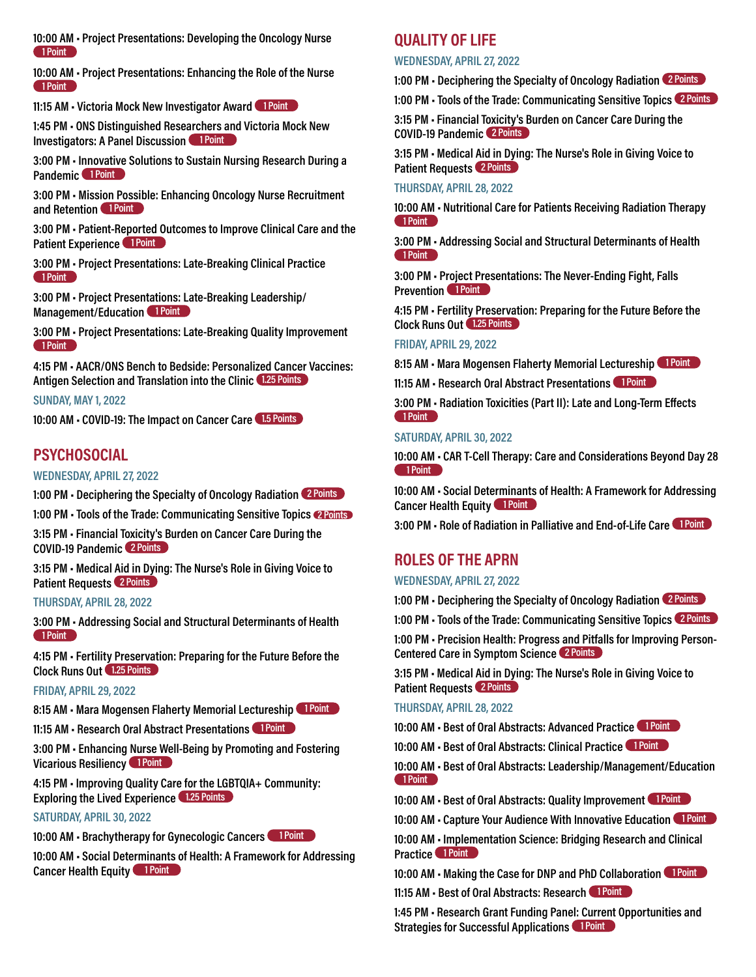**10:00 AM • Project Presentations: Developing the Oncology Nurse 1 Point**

**10:00 AM • Project Presentations: Enhancing the Role of the Nurse 1 Point**

**11:15 AM • Victoria Mock New Investigator Award 1 Point**

**1:45 PM • ONS Distinguished Researchers and Victoria Mock New Investigators: A Panel Discussion 1 Point** 

**3:00 PM • Innovative Solutions to Sustain Nursing Research During a Pandemic** 1 Point

**3:00 PM • Mission Possible: Enhancing Oncology Nurse Recruitment and Retention 1 Point** 

**3:00 PM • Patient-Reported Outcomes to Improve Clinical Care and the Patient Experience** 1 Point

**3:00 PM • Project Presentations: Late-Breaking Clinical Practice 1 Point**

**3:00 PM • Project Presentations: Late-Breaking Leadership/ Management/Education 1 Point** 

**3:00 PM • Project Presentations: Late-Breaking Quality Improvement 1 Point**

**4:15 PM • AACR/ONS Bench to Bedside: Personalized Cancer Vaccines: Antigen Selection and Translation into the Clinic 1.25 Points**

**SUNDAY, MAY 1, 2022**

**10:00 AM • COVID-19: The Impact on Cancer Care 1.5 Points**

# **PSYCHOSOCIAL**

#### **WEDNESDAY, APRIL 27, 2022**

**1:00 PM • Deciphering the Specialty of Oncology Radiation 2 Points**

**1:00 PM • Tools of the Trade: Communicating Sensitive Topics 2 Points**

**3:15 PM • Financial Toxicity's Burden on Cancer Care During the COVID-19 Pandemic 2 Points**

**3:15 PM • Medical Aid in Dying: The Nurse's Role in Giving Voice to Patient Requests 2 Points**

#### **THURSDAY, APRIL 28, 2022**

**3:00 PM • Addressing Social and Structural Determinants of Health 1 Point**

**4:15 PM • Fertility Preservation: Preparing for the Future Before the Clock Runs Out 1.25 Points**

#### **FRIDAY, APRIL 29, 2022**

8:15 AM • Mara Mogensen Flaherty Memorial Lectureship 1 Point

**11:15 AM • Research Oral Abstract Presentations 1 Point**

**3:00 PM • Enhancing Nurse Well-Being by Promoting and Fostering Vicarious Resiliency 1 Point** 

**4:15 PM • Improving Quality Care for the LGBTQIA+ Community: Exploring the Lived Experience 1.25 Points**

#### **SATURDAY, APRIL 30, 2022**

**10:00 AM • Brachytherapy for Gynecologic Cancers 1 Point**

**10:00 AM • Social Determinants of Health: A Framework for Addressing Cancer Health Equity 1 Point** 

#### **QUALITY OF LIFE**

#### **WEDNESDAY, APRIL 27, 2022**

**1:00 PM • Deciphering the Specialty of Oncology Radiation 2 Points**

**1:00 PM • Tools of the Trade: Communicating Sensitive Topics 2 Points**

**3:15 PM • Financial Toxicity's Burden on Cancer Care During the COVID-19 Pandemic 2 Points**

**3:15 PM • Medical Aid in Dying: The Nurse's Role in Giving Voice to Patient Requests 2 Points**

#### **THURSDAY, APRIL 28, 2022**

**10:00 AM • Nutritional Care for Patients Receiving Radiation Therapy 1 Point**

**3:00 PM • Addressing Social and Structural Determinants of Health 1 Point**

**3:00 PM • Project Presentations: The Never-Ending Fight, Falls Prevention** 1 Point

**4:15 PM • Fertility Preservation: Preparing for the Future Before the Clock Runs Out 1.25 Points**

#### **FRIDAY, APRIL 29, 2022**

8:15 AM · Mara Mogensen Flaherty Memorial Lectureship 1 Point

**11:15 AM • Research Oral Abstract Presentations 1 Point**

**3:00 PM • Radiation Toxicities (Part II): Late and Long-Term Effects 1 Point**

#### **SATURDAY, APRIL 30, 2022**

**10:00 AM • CAR T-Cell Therapy: Care and Considerations Beyond Day 28 1 Point**

**10:00 AM • Social Determinants of Health: A Framework for Addressing Cancer Health Equity 1 Point** 

**3:00 PM • Role of Radiation in Palliative and End-of-Life Care 1 Point**

# **ROLES OF THE APRN**

#### **WEDNESDAY, APRIL 27, 2022**

**1:00 PM • Deciphering the Specialty of Oncology Radiation 2 Points**

**1:00 PM • Tools of the Trade: Communicating Sensitive Topics 2 Points**

**1:00 PM • Precision Health: Progress and Pitfalls for Improving Person-Centered Care in Symptom Science 2 Points**

**3:15 PM • Medical Aid in Dying: The Nurse's Role in Giving Voice to Patient Requests 2 Points**

#### **THURSDAY, APRIL 28, 2022**

**10:00 AM • Best of Oral Abstracts: Advanced Practice 1 Point**

**10:00 AM • Best of Oral Abstracts: Clinical Practice 1 Point**

**10:00 AM • Best of Oral Abstracts: Leadership/Management/Education 1 Point**

10:00 AM · Best of Oral Abstracts: Quality Improvement 1 Point

10:00 AM • Capture Your Audience With Innovative Education 1 Point

**10:00 AM • Implementation Science: Bridging Research and Clinical Practice** 1 Point

10:00 AM · Making the Case for DNP and PhD Collaboration 1 Point

**11:15 AM • Best of Oral Abstracts: Research 1 Point**

**1:45 PM • Research Grant Funding Panel: Current Opportunities and Strategies for Successful Applications 1 Point**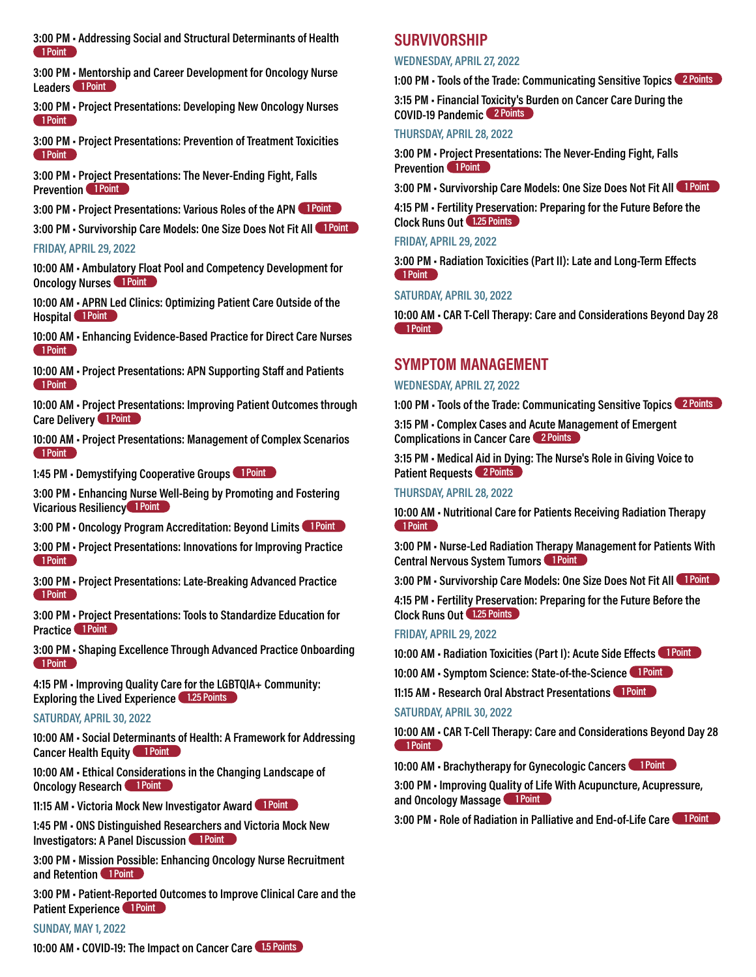**3:00 PM • Addressing Social and Structural Determinants of Health 1 Point**

**3:00 PM • Mentorship and Career Development for Oncology Nurse**  Leaders 1 Point

**3:00 PM • Project Presentations: Developing New Oncology Nurses 1 Point**

**3:00 PM • Project Presentations: Prevention of Treatment Toxicities 1 Point**

**3:00 PM • Project Presentations: The Never-Ending Fight, Falls Prevention** 1 Point

**3:00 PM • Project Presentations: Various Roles of the APN 1 Point**

**3:00 PM • Survivorship Care Models: One Size Does Not Fit All 1 Point** 

#### **FRIDAY, APRIL 29, 2022**

**10:00 AM • Ambulatory Float Pool and Competency Development for Oncology Nurses** 1 Point

**10:00 AM • APRN Led Clinics: Optimizing Patient Care Outside of the Hospital** 1 Point

**10:00 AM • Enhancing Evidence-Based Practice for Direct Care Nurses 1 Point**

**10:00 AM • Project Presentations: APN Supporting Staff and Patients 1 Point**

**10:00 AM • Project Presentations: Improving Patient Outcomes through Care Delivery 1 Point** 

**10:00 AM • Project Presentations: Management of Complex Scenarios 1 Point**

1:45 PM · Demystifying Cooperative Groups 1 Point

**3:00 PM • Enhancing Nurse Well-Being by Promoting and Fostering Vicarious Resiliency 1 Point**

**3:00 PM • Oncology Program Accreditation: Beyond Limits 1 Point**

**3:00 PM • Project Presentations: Innovations for Improving Practice 1 Point**

**3:00 PM • Project Presentations: Late-Breaking Advanced Practice 1 Point**

**3:00 PM • Project Presentations: Tools to Standardize Education for Practice 1 Point**

**3:00 PM • Shaping Excellence Through Advanced Practice Onboarding 1 Point**

**4:15 PM • Improving Quality Care for the LGBTQIA+ Community: Exploring the Lived Experience 1.25 Points**

#### **SATURDAY, APRIL 30, 2022**

**10:00 AM • Social Determinants of Health: A Framework for Addressing Cancer Health Equity 1 Point** 

**10:00 AM • Ethical Considerations in the Changing Landscape of Oncology Research 1 Point** 

**11:15 AM • Victoria Mock New Investigator Award 1 Point** 

**1:45 PM • ONS Distinguished Researchers and Victoria Mock New Investigators: A Panel Discussion 1 Point** 

**3:00 PM • Mission Possible: Enhancing Oncology Nurse Recruitment and Retention 1 Point**

**3:00 PM • Patient-Reported Outcomes to Improve Clinical Care and the Patient Experience 1 Point** 

#### **SUNDAY, MAY 1, 2022**

#### **SURVIVORSHIP**

#### **WEDNESDAY, APRIL 27, 2022**

**1:00 PM • Tools of the Trade: Communicating Sensitive Topics 2 Points**

**3:15 PM • Financial Toxicity's Burden on Cancer Care During the COVID-19 Pandemic 2 Points**

#### **THURSDAY, APRIL 28, 2022**

**3:00 PM • Project Presentations: The Never-Ending Fight, Falls Prevention 1 Point** 

**3:00 PM • Survivorship Care Models: One Size Does Not Fit All 1 Point**

**4:15 PM • Fertility Preservation: Preparing for the Future Before the Clock Runs Out 1.25 Points**

#### **FRIDAY, APRIL 29, 2022**

**3:00 PM • Radiation Toxicities (Part II): Late and Long-Term Effects 1 Point**

#### **SATURDAY, APRIL 30, 2022**

**10:00 AM • CAR T-Cell Therapy: Care and Considerations Beyond Day 28 1 Point**

#### **SYMPTOM MANAGEMENT**

#### **WEDNESDAY, APRIL 27, 2022**

**1:00 PM • Tools of the Trade: Communicating Sensitive Topics 2 Points**

**3:15 PM • Complex Cases and Acute Management of Emergent Complications in Cancer Care 2 Points**

**3:15 PM • Medical Aid in Dying: The Nurse's Role in Giving Voice to Patient Requests 2 Points** 

#### **THURSDAY, APRIL 28, 2022**

**10:00 AM • Nutritional Care for Patients Receiving Radiation Therapy 1 Point**

**3:00 PM • Nurse-Led Radiation Therapy Management for Patients With Central Nervous System Tumors 1 Point** 

**3:00 PM • Survivorship Care Models: One Size Does Not Fit All 1 Point** 

**4:15 PM • Fertility Preservation: Preparing for the Future Before the Clock Runs Out 1.25 Points**

#### **FRIDAY, APRIL 29, 2022**

**10:00 AM • Radiation Toxicities (Part I): Acute Side Effects 1 Point**

**10:00 AM • Symptom Science: State-of-the-Science 1 Point**

**11:15 AM • Research Oral Abstract Presentations 1 Point**

#### **SATURDAY, APRIL 30, 2022**

**10:00 AM • CAR T-Cell Therapy: Care and Considerations Beyond Day 28 1 Point**

10:00 AM · Brachytherapy for Gynecologic Cancers 1 Point

**3:00 PM • Improving Quality of Life With Acupuncture, Acupressure, and Oncology Massage 1 Point** 

**3:00 PM • Role of Radiation in Palliative and End-of-Life Care 1 Point**